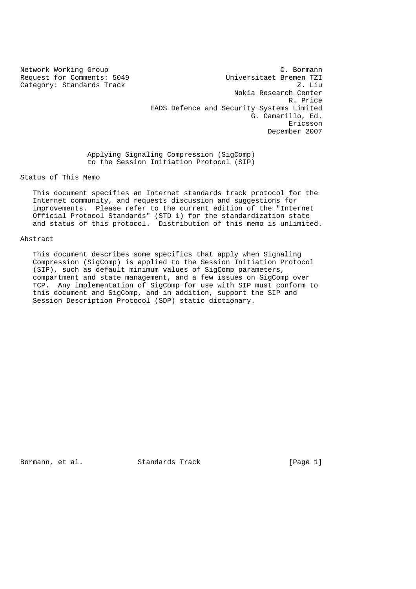Category: Standards Track

Network Working Group C. Bormann Request for Comments: 5049<br>
Category: Standards Track<br>
Z. Liu Nokia Research Center R. Price EADS Defence and Security Systems Limited G. Camarillo, Ed. Ericsson December 2007

> Applying Signaling Compression (SigComp) to the Session Initiation Protocol (SIP)

Status of This Memo

 This document specifies an Internet standards track protocol for the Internet community, and requests discussion and suggestions for improvements. Please refer to the current edition of the "Internet Official Protocol Standards" (STD 1) for the standardization state and status of this protocol. Distribution of this memo is unlimited.

#### Abstract

 This document describes some specifics that apply when Signaling Compression (SigComp) is applied to the Session Initiation Protocol (SIP), such as default minimum values of SigComp parameters, compartment and state management, and a few issues on SigComp over TCP. Any implementation of SigComp for use with SIP must conform to this document and SigComp, and in addition, support the SIP and Session Description Protocol (SDP) static dictionary.

Bormann, et al. Standards Track [Page 1]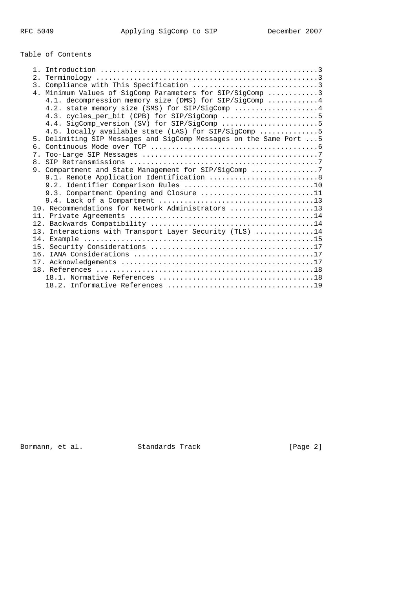# Table of Contents

|                | 4. Minimum Values of SigComp Parameters for SIP/SigComp 3                                                        |
|----------------|------------------------------------------------------------------------------------------------------------------|
|                | 4.1. decompression_memory_size (DMS) for SIP/SigComp  4                                                          |
|                | 4.2. state_memory_size (SMS) for SIP/SigComp 4                                                                   |
|                | 4.3. cycles_per_bit (CPB) for SIP/SigComp 5                                                                      |
|                | 4.4. SigComp_version (SV) for SIP/SigComp 5                                                                      |
|                | 4.5. locally available state (LAS) for SIP/SigComp 5                                                             |
|                | 5. Delimiting SIP Messages and SigComp Messages on the Same Port  5                                              |
|                |                                                                                                                  |
| 7 <sub>1</sub> |                                                                                                                  |
|                |                                                                                                                  |
|                | 9. Compartment and State Management for SIP/SigComp 7                                                            |
|                | 9.1. Remote Application Identification  8                                                                        |
|                |                                                                                                                  |
|                | 9.3. Compartment Opening and Closure 11                                                                          |
|                | 9.4. Lack of a Compartment $\ldots \ldots \ldots \ldots \ldots \ldots \ldots \ldots \ldots \ldots \ldots \ldots$ |
|                | 10. Recommendations for Network Administrators 13                                                                |
|                |                                                                                                                  |
|                |                                                                                                                  |
|                | 13. Interactions with Transport Layer Security (TLS) 14                                                          |
|                |                                                                                                                  |
|                |                                                                                                                  |
|                |                                                                                                                  |
|                |                                                                                                                  |
|                |                                                                                                                  |
|                |                                                                                                                  |
|                |                                                                                                                  |

Bormann, et al. Standards Track [Page 2]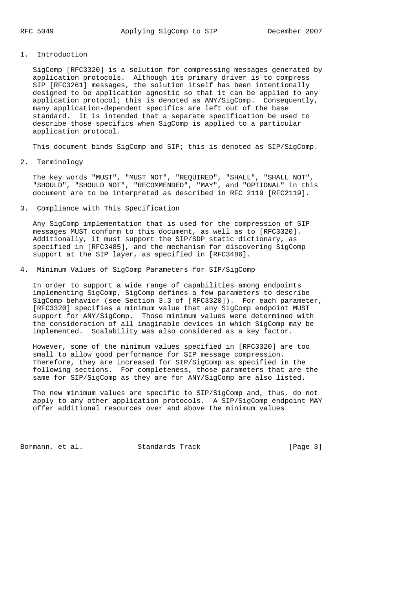## 1. Introduction

 SigComp [RFC3320] is a solution for compressing messages generated by application protocols. Although its primary driver is to compress SIP [RFC3261] messages, the solution itself has been intentionally designed to be application agnostic so that it can be applied to any application protocol; this is denoted as ANY/SigComp. Consequently, many application-dependent specifics are left out of the base standard. It is intended that a separate specification be used to describe those specifics when SigComp is applied to a particular application protocol.

This document binds SigComp and SIP; this is denoted as SIP/SigComp.

2. Terminology

 The key words "MUST", "MUST NOT", "REQUIRED", "SHALL", "SHALL NOT", "SHOULD", "SHOULD NOT", "RECOMMENDED", "MAY", and "OPTIONAL" in this document are to be interpreted as described in RFC 2119 [RFC2119].

3. Compliance with This Specification

 Any SigComp implementation that is used for the compression of SIP messages MUST conform to this document, as well as to [RFC3320]. Additionally, it must support the SIP/SDP static dictionary, as specified in [RFC3485], and the mechanism for discovering SigComp support at the SIP layer, as specified in [RFC3486].

4. Minimum Values of SigComp Parameters for SIP/SigComp

 In order to support a wide range of capabilities among endpoints implementing SigComp, SigComp defines a few parameters to describe SigComp behavior (see Section 3.3 of [RFC3320]). For each parameter, [RFC3320] specifies a minimum value that any SigComp endpoint MUST support for ANY/SigComp. Those minimum values were determined with the consideration of all imaginable devices in which SigComp may be implemented. Scalability was also considered as a key factor.

 However, some of the minimum values specified in [RFC3320] are too small to allow good performance for SIP message compression. Therefore, they are increased for SIP/SigComp as specified in the following sections. For completeness, those parameters that are the same for SIP/SigComp as they are for ANY/SigComp are also listed.

 The new minimum values are specific to SIP/SigComp and, thus, do not apply to any other application protocols. A SIP/SigComp endpoint MAY offer additional resources over and above the minimum values

Bormann, et al. Standards Track [Page 3]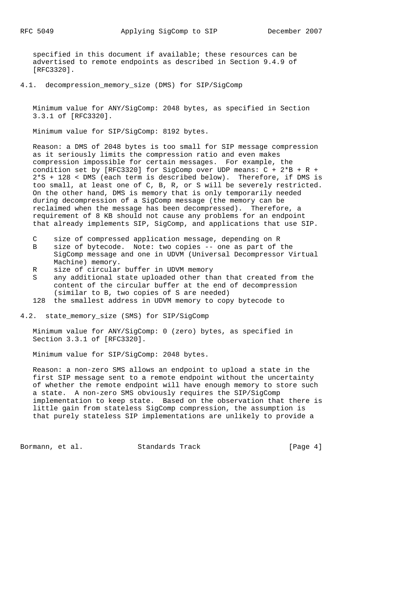specified in this document if available; these resources can be advertised to remote endpoints as described in Section 9.4.9 of [RFC3320].

4.1. decompression\_memory\_size (DMS) for SIP/SigComp

 Minimum value for ANY/SigComp: 2048 bytes, as specified in Section 3.3.1 of [RFC3320].

Minimum value for SIP/SigComp: 8192 bytes.

 Reason: a DMS of 2048 bytes is too small for SIP message compression as it seriously limits the compression ratio and even makes compression impossible for certain messages. For example, the condition set by [RFC3320] for SigComp over UDP means: C + 2\*B + R + 2\*S + 128 < DMS (each term is described below). Therefore, if DMS is too small, at least one of C, B, R, or S will be severely restricted. On the other hand, DMS is memory that is only temporarily needed during decompression of a SigComp message (the memory can be reclaimed when the message has been decompressed). Therefore, a requirement of 8 KB should not cause any problems for an endpoint that already implements SIP, SigComp, and applications that use SIP.

- C size of compressed application message, depending on R
- B size of bytecode. Note: two copies -- one as part of the SigComp message and one in UDVM (Universal Decompressor Virtual Machine) memory.
- R size of circular buffer in UDVM memory
- S any additional state uploaded other than that created from the content of the circular buffer at the end of decompression (similar to B, two copies of S are needed)
- 128 the smallest address in UDVM memory to copy bytecode to

4.2. state\_memory\_size (SMS) for SIP/SigComp

 Minimum value for ANY/SigComp: 0 (zero) bytes, as specified in Section 3.3.1 of [RFC3320].

Minimum value for SIP/SigComp: 2048 bytes.

 Reason: a non-zero SMS allows an endpoint to upload a state in the first SIP message sent to a remote endpoint without the uncertainty of whether the remote endpoint will have enough memory to store such a state. A non-zero SMS obviously requires the SIP/SigComp implementation to keep state. Based on the observation that there is little gain from stateless SigComp compression, the assumption is that purely stateless SIP implementations are unlikely to provide a

Bormann, et al. Standards Track [Page 4]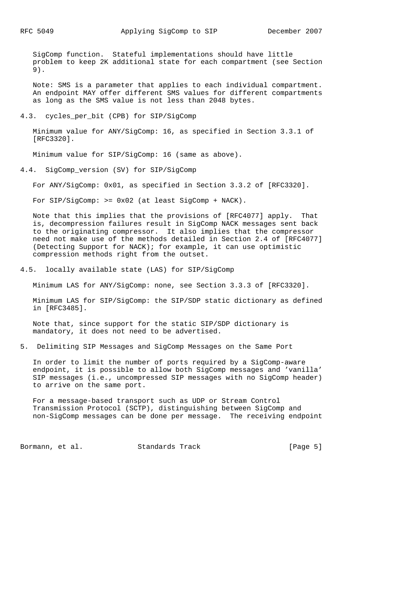SigComp function. Stateful implementations should have little problem to keep 2K additional state for each compartment (see Section 9).

 Note: SMS is a parameter that applies to each individual compartment. An endpoint MAY offer different SMS values for different compartments as long as the SMS value is not less than 2048 bytes.

#### 4.3. cycles per bit (CPB) for SIP/SigComp

 Minimum value for ANY/SigComp: 16, as specified in Section 3.3.1 of [RFC3320].

Minimum value for SIP/SigComp: 16 (same as above).

4.4. SigComp\_version (SV) for SIP/SigComp

For ANY/SigComp: 0x01, as specified in Section 3.3.2 of [RFC3320].

For SIP/SigComp: >= 0x02 (at least SigComp + NACK).

 Note that this implies that the provisions of [RFC4077] apply. That is, decompression failures result in SigComp NACK messages sent back to the originating compressor. It also implies that the compressor need not make use of the methods detailed in Section 2.4 of [RFC4077] (Detecting Support for NACK); for example, it can use optimistic compression methods right from the outset.

4.5. locally available state (LAS) for SIP/SigComp

Minimum LAS for ANY/SigComp: none, see Section 3.3.3 of [RFC3320].

 Minimum LAS for SIP/SigComp: the SIP/SDP static dictionary as defined in [RFC3485].

 Note that, since support for the static SIP/SDP dictionary is mandatory, it does not need to be advertised.

5. Delimiting SIP Messages and SigComp Messages on the Same Port

 In order to limit the number of ports required by a SigComp-aware endpoint, it is possible to allow both SigComp messages and 'vanilla' SIP messages (i.e., uncompressed SIP messages with no SigComp header) to arrive on the same port.

 For a message-based transport such as UDP or Stream Control Transmission Protocol (SCTP), distinguishing between SigComp and non-SigComp messages can be done per message. The receiving endpoint

Bormann, et al. Standards Track [Page 5]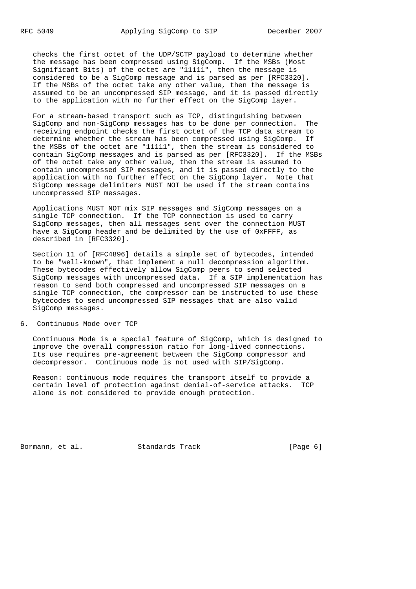checks the first octet of the UDP/SCTP payload to determine whether the message has been compressed using SigComp. If the MSBs (Most Significant Bits) of the octet are "11111", then the message is considered to be a SigComp message and is parsed as per [RFC3320]. If the MSBs of the octet take any other value, then the message is assumed to be an uncompressed SIP message, and it is passed directly to the application with no further effect on the SigComp layer.

 For a stream-based transport such as TCP, distinguishing between SigComp and non-SigComp messages has to be done per connection. The receiving endpoint checks the first octet of the TCP data stream to determine whether the stream has been compressed using SigComp. If the MSBs of the octet are "11111", then the stream is considered to contain SigComp messages and is parsed as per [RFC3320]. If the MSBs of the octet take any other value, then the stream is assumed to contain uncompressed SIP messages, and it is passed directly to the application with no further effect on the SigComp layer. Note that SigComp message delimiters MUST NOT be used if the stream contains uncompressed SIP messages.

 Applications MUST NOT mix SIP messages and SigComp messages on a single TCP connection. If the TCP connection is used to carry SigComp messages, then all messages sent over the connection MUST have a SigComp header and be delimited by the use of 0xFFFF, as described in [RFC3320].

 Section 11 of [RFC4896] details a simple set of bytecodes, intended to be "well-known", that implement a null decompression algorithm. These bytecodes effectively allow SigComp peers to send selected SigComp messages with uncompressed data. If a SIP implementation has reason to send both compressed and uncompressed SIP messages on a single TCP connection, the compressor can be instructed to use these bytecodes to send uncompressed SIP messages that are also valid SigComp messages.

6. Continuous Mode over TCP

 Continuous Mode is a special feature of SigComp, which is designed to improve the overall compression ratio for long-lived connections. Its use requires pre-agreement between the SigComp compressor and decompressor. Continuous mode is not used with SIP/SigComp.

 Reason: continuous mode requires the transport itself to provide a certain level of protection against denial-of-service attacks. TCP alone is not considered to provide enough protection.

Bormann, et al. Standards Track [Page 6]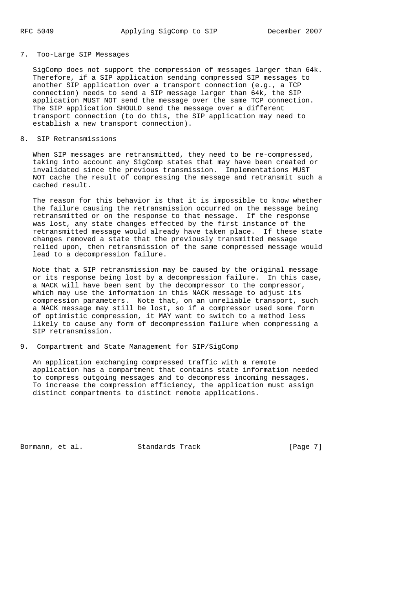# 7. Too-Large SIP Messages

 SigComp does not support the compression of messages larger than 64k. Therefore, if a SIP application sending compressed SIP messages to another SIP application over a transport connection (e.g., a TCP connection) needs to send a SIP message larger than 64k, the SIP application MUST NOT send the message over the same TCP connection. The SIP application SHOULD send the message over a different transport connection (to do this, the SIP application may need to establish a new transport connection).

# 8. SIP Retransmissions

When SIP messages are retransmitted, they need to be re-compressed, taking into account any SigComp states that may have been created or invalidated since the previous transmission. Implementations MUST NOT cache the result of compressing the message and retransmit such a cached result.

 The reason for this behavior is that it is impossible to know whether the failure causing the retransmission occurred on the message being retransmitted or on the response to that message. If the response was lost, any state changes effected by the first instance of the retransmitted message would already have taken place. If these state changes removed a state that the previously transmitted message relied upon, then retransmission of the same compressed message would lead to a decompression failure.

 Note that a SIP retransmission may be caused by the original message or its response being lost by a decompression failure. In this case, a NACK will have been sent by the decompressor to the compressor, which may use the information in this NACK message to adjust its compression parameters. Note that, on an unreliable transport, such a NACK message may still be lost, so if a compressor used some form of optimistic compression, it MAY want to switch to a method less likely to cause any form of decompression failure when compressing a SIP retransmission.

9. Compartment and State Management for SIP/SigComp

 An application exchanging compressed traffic with a remote application has a compartment that contains state information needed to compress outgoing messages and to decompress incoming messages. To increase the compression efficiency, the application must assign distinct compartments to distinct remote applications.

Bormann, et al. Standards Track [Page 7]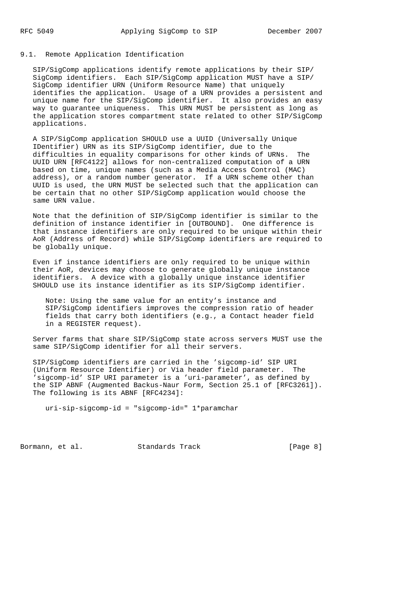# 9.1. Remote Application Identification

 SIP/SigComp applications identify remote applications by their SIP/ SigComp identifiers. Each SIP/SigComp application MUST have a SIP/ SigComp identifier URN (Uniform Resource Name) that uniquely identifies the application. Usage of a URN provides a persistent and unique name for the SIP/SigComp identifier. It also provides an easy way to guarantee uniqueness. This URN MUST be persistent as long as the application stores compartment state related to other SIP/SigComp applications.

 A SIP/SigComp application SHOULD use a UUID (Universally Unique IDentifier) URN as its SIP/SigComp identifier, due to the difficulties in equality comparisons for other kinds of URNs. The UUID URN [RFC4122] allows for non-centralized computation of a URN based on time, unique names (such as a Media Access Control (MAC) address), or a random number generator. If a URN scheme other than UUID is used, the URN MUST be selected such that the application can be certain that no other SIP/SigComp application would choose the same URN value.

 Note that the definition of SIP/SigComp identifier is similar to the definition of instance identifier in [OUTBOUND]. One difference is that instance identifiers are only required to be unique within their AoR (Address of Record) while SIP/SigComp identifiers are required to be globally unique.

 Even if instance identifiers are only required to be unique within their AoR, devices may choose to generate globally unique instance identifiers. A device with a globally unique instance identifier SHOULD use its instance identifier as its SIP/SigComp identifier.

 Note: Using the same value for an entity's instance and SIP/SigComp identifiers improves the compression ratio of header fields that carry both identifiers (e.g., a Contact header field in a REGISTER request).

 Server farms that share SIP/SigComp state across servers MUST use the same SIP/SigComp identifier for all their servers.

 SIP/SigComp identifiers are carried in the 'sigcomp-id' SIP URI (Uniform Resource Identifier) or Via header field parameter. The 'sigcomp-id' SIP URI parameter is a 'uri-parameter', as defined by the SIP ABNF (Augmented Backus-Naur Form, Section 25.1 of [RFC3261]). The following is its ABNF [RFC4234]:

uri-sip-sigcomp-id = "sigcomp-id=" 1\*paramchar

Bormann, et al. Standards Track [Page 8]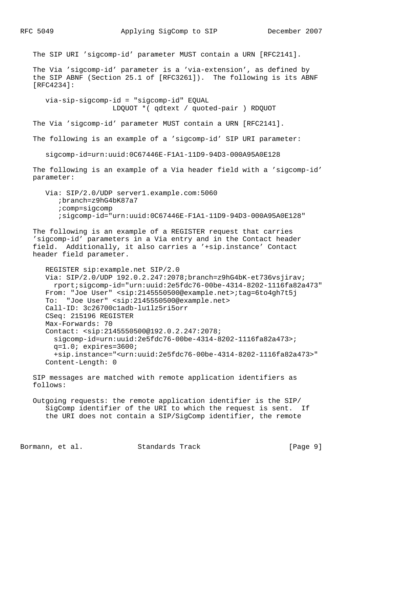The SIP URI 'sigcomp-id' parameter MUST contain a URN [RFC2141]. The Via 'sigcomp-id' parameter is a 'via-extension', as defined by the SIP ABNF (Section 25.1 of [RFC3261]). The following is its ABNF [RFC4234]: via-sip-sigcomp-id = "sigcomp-id" EQUAL LDQUOT \*( qdtext / quoted-pair ) RDQUOT The Via 'sigcomp-id' parameter MUST contain a URN [RFC2141]. The following is an example of a 'sigcomp-id' SIP URI parameter: sigcomp-id=urn:uuid:0C67446E-F1A1-11D9-94D3-000A95A0E128 The following is an example of a Via header field with a 'sigcomp-id' parameter: Via: SIP/2.0/UDP server1.example.com:5060 ;branch=z9hG4bK87a7 ;comp=sigcomp ;sigcomp-id="urn:uuid:0C67446E-F1A1-11D9-94D3-000A95A0E128" The following is an example of a REGISTER request that carries 'sigcomp-id' parameters in a Via entry and in the Contact header field. Additionally, it also carries a '+sip.instance' Contact header field parameter. REGISTER sip:example.net SIP/2.0 Via: SIP/2.0/UDP 192.0.2.247:2078;branch=z9hG4bK-et736vsjirav; rport;sigcomp-id="urn:uuid:2e5fdc76-00be-4314-8202-1116fa82a473" From: "Joe User" <sip:2145550500@example.net>;tag=6to4gh7t5j To: "Joe User" <sip:2145550500@example.net> Call-ID: 3c26700c1adb-lu1lz5ri5orr CSeq: 215196 REGISTER Max-Forwards: 70 Contact: <sip:2145550500@192.0.2.247:2078; sigcomp-id=urn:uuid:2e5fdc76-00be-4314-8202-1116fa82a473>; q=1.0; expires=3600; +sip.instance="<urn:uuid:2e5fdc76-00be-4314-8202-1116fa82a473>" Content-Length: 0 SIP messages are matched with remote application identifiers as follows: Outgoing requests: the remote application identifier is the SIP/ SigComp identifier of the URI to which the request is sent. If the URI does not contain a SIP/SigComp identifier, the remote

Bormann, et al. Standards Track [Page 9]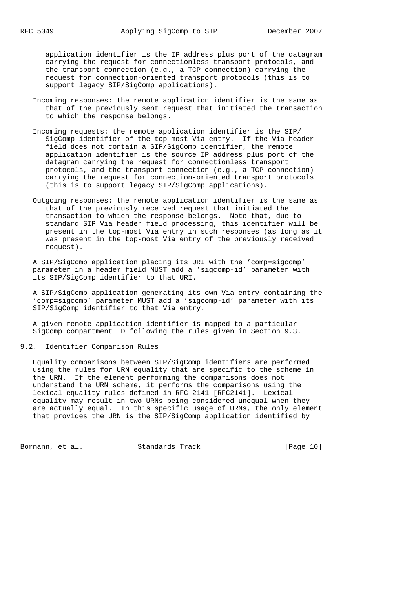application identifier is the IP address plus port of the datagram carrying the request for connectionless transport protocols, and the transport connection (e.g., a TCP connection) carrying the request for connection-oriented transport protocols (this is to support legacy SIP/SigComp applications).

- Incoming responses: the remote application identifier is the same as that of the previously sent request that initiated the transaction to which the response belongs.
- Incoming requests: the remote application identifier is the SIP/ SigComp identifier of the top-most Via entry. If the Via header field does not contain a SIP/SigComp identifier, the remote application identifier is the source IP address plus port of the datagram carrying the request for connectionless transport protocols, and the transport connection (e.g., a TCP connection) carrying the request for connection-oriented transport protocols (this is to support legacy SIP/SigComp applications).
- Outgoing responses: the remote application identifier is the same as that of the previously received request that initiated the transaction to which the response belongs. Note that, due to standard SIP Via header field processing, this identifier will be present in the top-most Via entry in such responses (as long as it was present in the top-most Via entry of the previously received request).

 A SIP/SigComp application placing its URI with the 'comp=sigcomp' parameter in a header field MUST add a 'sigcomp-id' parameter with its SIP/SigComp identifier to that URI.

 A SIP/SigComp application generating its own Via entry containing the 'comp=sigcomp' parameter MUST add a 'sigcomp-id' parameter with its SIP/SigComp identifier to that Via entry.

 A given remote application identifier is mapped to a particular SigComp compartment ID following the rules given in Section 9.3.

9.2. Identifier Comparison Rules

 Equality comparisons between SIP/SigComp identifiers are performed using the rules for URN equality that are specific to the scheme in the URN. If the element performing the comparisons does not understand the URN scheme, it performs the comparisons using the lexical equality rules defined in RFC 2141 [RFC2141]. Lexical equality may result in two URNs being considered unequal when they are actually equal. In this specific usage of URNs, the only element that provides the URN is the SIP/SigComp application identified by

Bormann, et al. Standards Track [Page 10]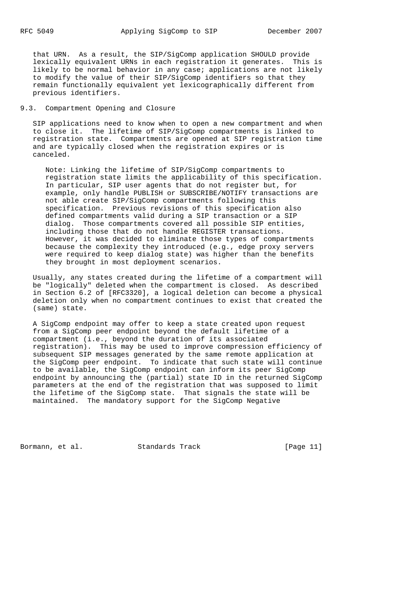that URN. As a result, the SIP/SigComp application SHOULD provide lexically equivalent URNs in each registration it generates. This is likely to be normal behavior in any case; applications are not likely to modify the value of their SIP/SigComp identifiers so that they remain functionally equivalent yet lexicographically different from previous identifiers.

# 9.3. Compartment Opening and Closure

 SIP applications need to know when to open a new compartment and when to close it. The lifetime of SIP/SigComp compartments is linked to registration state. Compartments are opened at SIP registration time and are typically closed when the registration expires or is canceled.

 Note: Linking the lifetime of SIP/SigComp compartments to registration state limits the applicability of this specification. In particular, SIP user agents that do not register but, for example, only handle PUBLISH or SUBSCRIBE/NOTIFY transactions are not able create SIP/SigComp compartments following this specification. Previous revisions of this specification also defined compartments valid during a SIP transaction or a SIP dialog. Those compartments covered all possible SIP entities, including those that do not handle REGISTER transactions. However, it was decided to eliminate those types of compartments because the complexity they introduced (e.g., edge proxy servers were required to keep dialog state) was higher than the benefits they brought in most deployment scenarios.

 Usually, any states created during the lifetime of a compartment will be "logically" deleted when the compartment is closed. As described in Section 6.2 of [RFC3320], a logical deletion can become a physical deletion only when no compartment continues to exist that created the (same) state.

 A SigComp endpoint may offer to keep a state created upon request from a SigComp peer endpoint beyond the default lifetime of a compartment (i.e., beyond the duration of its associated registration). This may be used to improve compression efficiency of subsequent SIP messages generated by the same remote application at the SigComp peer endpoint. To indicate that such state will continue to be available, the SigComp endpoint can inform its peer SigComp endpoint by announcing the (partial) state ID in the returned SigComp parameters at the end of the registration that was supposed to limit the lifetime of the SigComp state. That signals the state will be maintained. The mandatory support for the SigComp Negative

Bormann, et al. Standards Track [Page 11]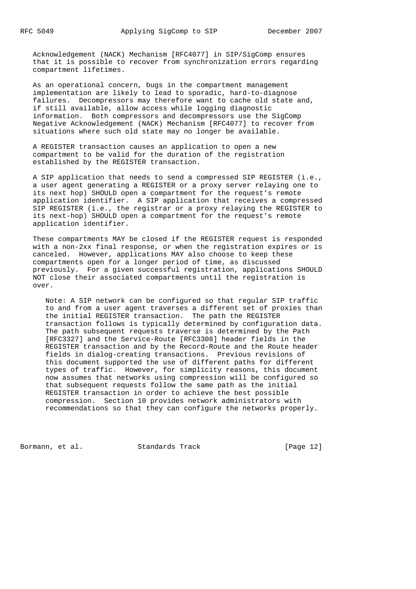Acknowledgement (NACK) Mechanism [RFC4077] in SIP/SigComp ensures that it is possible to recover from synchronization errors regarding compartment lifetimes.

 As an operational concern, bugs in the compartment management implementation are likely to lead to sporadic, hard-to-diagnose failures. Decompressors may therefore want to cache old state and, if still available, allow access while logging diagnostic information. Both compressors and decompressors use the SigComp Negative Acknowledgement (NACK) Mechanism [RFC4077] to recover from situations where such old state may no longer be available.

 A REGISTER transaction causes an application to open a new compartment to be valid for the duration of the registration established by the REGISTER transaction.

 A SIP application that needs to send a compressed SIP REGISTER (i.e., a user agent generating a REGISTER or a proxy server relaying one to its next hop) SHOULD open a compartment for the request's remote application identifier. A SIP application that receives a compressed SIP REGISTER (i.e., the registrar or a proxy relaying the REGISTER to its next-hop) SHOULD open a compartment for the request's remote application identifier.

 These compartments MAY be closed if the REGISTER request is responded with a non-2xx final response, or when the registration expires or is canceled. However, applications MAY also choose to keep these compartments open for a longer period of time, as discussed previously. For a given successful registration, applications SHOULD NOT close their associated compartments until the registration is over.

 Note: A SIP network can be configured so that regular SIP traffic to and from a user agent traverses a different set of proxies than the initial REGISTER transaction. The path the REGISTER transaction follows is typically determined by configuration data. The path subsequent requests traverse is determined by the Path [RFC3327] and the Service-Route [RFC3308] header fields in the REGISTER transaction and by the Record-Route and the Route header fields in dialog-creating transactions. Previous revisions of this document supported the use of different paths for different types of traffic. However, for simplicity reasons, this document now assumes that networks using compression will be configured so that subsequent requests follow the same path as the initial REGISTER transaction in order to achieve the best possible compression. Section 10 provides network administrators with recommendations so that they can configure the networks properly.

Bormann, et al. Standards Track [Page 12]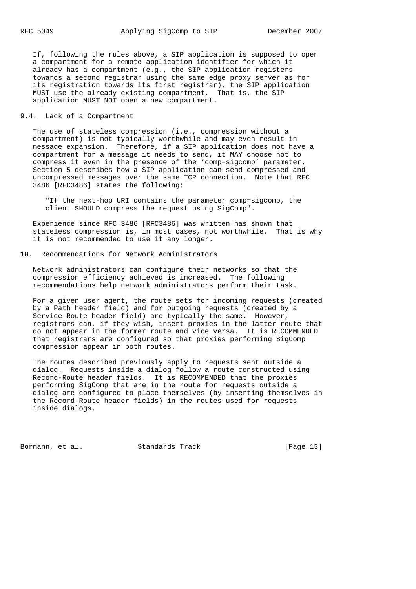If, following the rules above, a SIP application is supposed to open a compartment for a remote application identifier for which it already has a compartment (e.g., the SIP application registers towards a second registrar using the same edge proxy server as for its registration towards its first registrar), the SIP application MUST use the already existing compartment. That is, the SIP application MUST NOT open a new compartment.

# 9.4. Lack of a Compartment

 The use of stateless compression (i.e., compression without a compartment) is not typically worthwhile and may even result in message expansion. Therefore, if a SIP application does not have a compartment for a message it needs to send, it MAY choose not to compress it even in the presence of the 'comp=sigcomp' parameter. Section 5 describes how a SIP application can send compressed and uncompressed messages over the same TCP connection. Note that RFC 3486 [RFC3486] states the following:

 "If the next-hop URI contains the parameter comp=sigcomp, the client SHOULD compress the request using SigComp".

 Experience since RFC 3486 [RFC3486] was written has shown that stateless compression is, in most cases, not worthwhile. That is why it is not recommended to use it any longer.

## 10. Recommendations for Network Administrators

 Network administrators can configure their networks so that the compression efficiency achieved is increased. The following recommendations help network administrators perform their task.

 For a given user agent, the route sets for incoming requests (created by a Path header field) and for outgoing requests (created by a Service-Route header field) are typically the same. However, registrars can, if they wish, insert proxies in the latter route that do not appear in the former route and vice versa. It is RECOMMENDED that registrars are configured so that proxies performing SigComp compression appear in both routes.

 The routes described previously apply to requests sent outside a dialog. Requests inside a dialog follow a route constructed using Record-Route header fields. It is RECOMMENDED that the proxies performing SigComp that are in the route for requests outside a dialog are configured to place themselves (by inserting themselves in the Record-Route header fields) in the routes used for requests inside dialogs.

Bormann, et al. Standards Track [Page 13]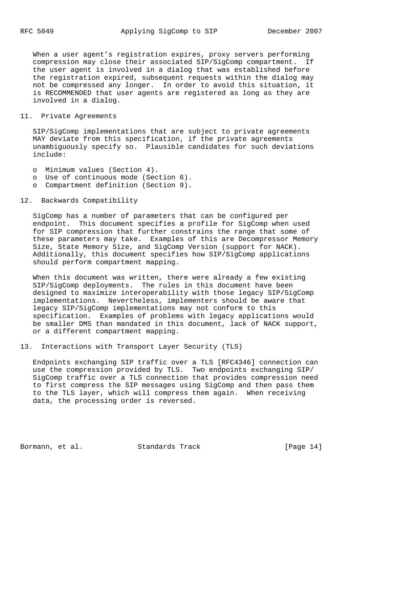When a user agent's registration expires, proxy servers performing compression may close their associated SIP/SigComp compartment. If the user agent is involved in a dialog that was established before the registration expired, subsequent requests within the dialog may not be compressed any longer. In order to avoid this situation, it is RECOMMENDED that user agents are registered as long as they are involved in a dialog.

# 11. Private Agreements

 SIP/SigComp implementations that are subject to private agreements MAY deviate from this specification, if the private agreements unambiguously specify so. Plausible candidates for such deviations include:

- o Minimum values (Section 4).
- o Use of continuous mode (Section 6).
- o Compartment definition (Section 9).

## 12. Backwards Compatibility

 SigComp has a number of parameters that can be configured per endpoint. This document specifies a profile for SigComp when used for SIP compression that further constrains the range that some of these parameters may take. Examples of this are Decompressor Memory Size, State Memory Size, and SigComp Version (support for NACK). Additionally, this document specifies how SIP/SigComp applications should perform compartment mapping.

 When this document was written, there were already a few existing SIP/SigComp deployments. The rules in this document have been designed to maximize interoperability with those legacy SIP/SigComp implementations. Nevertheless, implementers should be aware that legacy SIP/SigComp implementations may not conform to this specification. Examples of problems with legacy applications would be smaller DMS than mandated in this document, lack of NACK support, or a different compartment mapping.

13. Interactions with Transport Layer Security (TLS)

 Endpoints exchanging SIP traffic over a TLS [RFC4346] connection can use the compression provided by TLS. Two endpoints exchanging SIP/ SigComp traffic over a TLS connection that provides compression need to first compress the SIP messages using SigComp and then pass them to the TLS layer, which will compress them again. When receiving data, the processing order is reversed.

Bormann, et al. Standards Track [Page 14]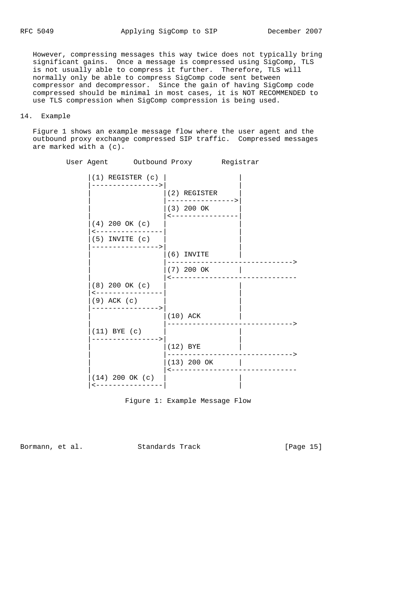However, compressing messages this way twice does not typically bring significant gains. Once a message is compressed using SigComp, TLS is not usually able to compress it further. Therefore, TLS will normally only be able to compress SigComp code sent between compressor and decompressor. Since the gain of having SigComp code compressed should be minimal in most cases, it is NOT RECOMMENDED to use TLS compression when SigComp compression is being used.

# 14. Example

 Figure 1 shows an example message flow where the user agent and the outbound proxy exchange compressed SIP traffic. Compressed messages are marked with a (c).

| User Agent Outbound Proxy Registrar  |  |                                 |  |  |
|--------------------------------------|--|---------------------------------|--|--|
| $(1)$ REGISTER $(c)$                 |  |                                 |  |  |
|                                      |  | (2) REGISTER                    |  |  |
|                                      |  | ----------------><br>(3) 200 OK |  |  |
| $(4)$ 200 OK $(c)$                   |  |                                 |  |  |
| <-------------<br>$(5)$ INVITE $(c)$ |  |                                 |  |  |
|                                      |  | $(6)$ INVITE                    |  |  |
|                                      |  | (7) 200 OK                      |  |  |
| $(8)$ 200 OK $(c)$                   |  |                                 |  |  |
| --------------<br>$(9)$ ACK $(c)$    |  |                                 |  |  |
|                                      |  | $(10)$ ACK                      |  |  |
| $(11)$ BYE $(c)$                     |  |                                 |  |  |
| ---------------->                    |  | $(12)$ BYE                      |  |  |
|                                      |  | (13) 200 OK                     |  |  |
| $(14)$ 200 OK $(c)$                  |  |                                 |  |  |
| <----------------                    |  |                                 |  |  |



Bormann, et al. Standards Track [Page 15]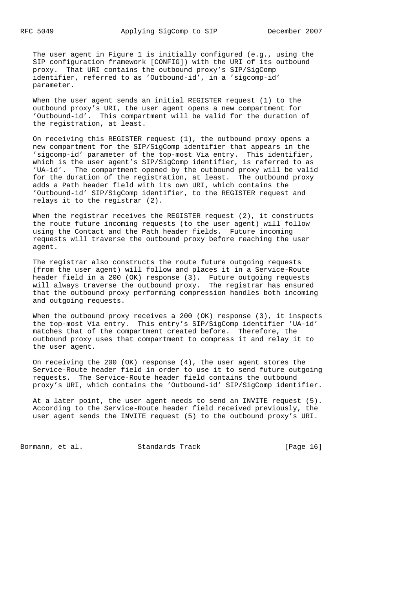The user agent in Figure 1 is initially configured (e.g., using the SIP configuration framework [CONFIG]) with the URI of its outbound proxy. That URI contains the outbound proxy's SIP/SigComp identifier, referred to as 'Outbound-id', in a 'sigcomp-id' parameter.

 When the user agent sends an initial REGISTER request (1) to the outbound proxy's URI, the user agent opens a new compartment for 'Outbound-id'. This compartment will be valid for the duration of the registration, at least.

 On receiving this REGISTER request (1), the outbound proxy opens a new compartment for the SIP/SigComp identifier that appears in the 'sigcomp-id' parameter of the top-most Via entry. This identifier, which is the user agent's SIP/SigComp identifier, is referred to as 'UA-id'. The compartment opened by the outbound proxy will be valid for the duration of the registration, at least. The outbound proxy adds a Path header field with its own URI, which contains the 'Outbound-id' SIP/SigComp identifier, to the REGISTER request and relays it to the registrar (2).

When the registrar receives the REGISTER request (2), it constructs the route future incoming requests (to the user agent) will follow using the Contact and the Path header fields. Future incoming requests will traverse the outbound proxy before reaching the user agent.

 The registrar also constructs the route future outgoing requests (from the user agent) will follow and places it in a Service-Route header field in a 200 (OK) response (3). Future outgoing requests will always traverse the outbound proxy. The registrar has ensured that the outbound proxy performing compression handles both incoming and outgoing requests.

When the outbound proxy receives a 200 (OK) response (3), it inspects the top-most Via entry. This entry's SIP/SigComp identifier 'UA-id' matches that of the compartment created before. Therefore, the outbound proxy uses that compartment to compress it and relay it to the user agent.

 On receiving the 200 (OK) response (4), the user agent stores the Service-Route header field in order to use it to send future outgoing requests. The Service-Route header field contains the outbound proxy's URI, which contains the 'Outbound-id' SIP/SigComp identifier.

 At a later point, the user agent needs to send an INVITE request (5). According to the Service-Route header field received previously, the user agent sends the INVITE request (5) to the outbound proxy's URI.

Bormann, et al. Standards Track [Page 16]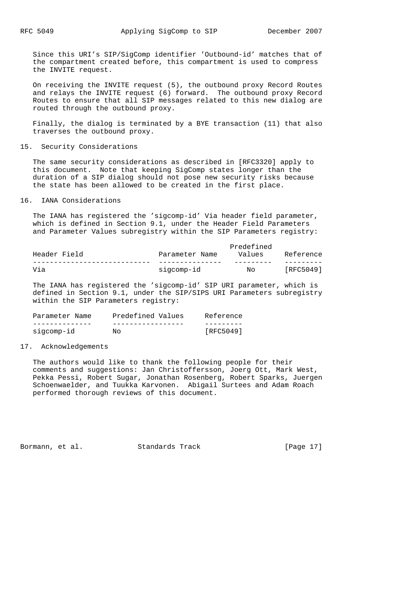Since this URI's SIP/SigComp identifier 'Outbound-id' matches that of the compartment created before, this compartment is used to compress the INVITE request.

 On receiving the INVITE request (5), the outbound proxy Record Routes and relays the INVITE request (6) forward. The outbound proxy Record Routes to ensure that all SIP messages related to this new dialog are routed through the outbound proxy.

 Finally, the dialog is terminated by a BYE transaction (11) that also traverses the outbound proxy.

#### 15. Security Considerations

 The same security considerations as described in [RFC3320] apply to this document. Note that keeping SigComp states longer than the duration of a SIP dialog should not pose new security risks because the state has been allowed to be created in the first place.

## 16. IANA Considerations

 The IANA has registered the 'sigcomp-id' Via header field parameter, which is defined in Section 9.1, under the Header Field Parameters and Parameter Values subregistry within the SIP Parameters registry:

| Header Field | Predefined<br>Values<br>Parameter Name |    |           |  |
|--------------|----------------------------------------|----|-----------|--|
|              |                                        |    | Reference |  |
| Via          | sigcomp-id                             | No | [RFC5049] |  |

 The IANA has registered the 'sigcomp-id' SIP URI parameter, which is defined in Section 9.1, under the SIP/SIPS URI Parameters subregistry within the SIP Parameters registry:

| Parameter Name | Predefined Values | Reference |
|----------------|-------------------|-----------|
|                |                   |           |
| sigcomp-id     | No.               | [RFC5049] |

#### 17. Acknowledgements

 The authors would like to thank the following people for their comments and suggestions: Jan Christoffersson, Joerg Ott, Mark West, Pekka Pessi, Robert Sugar, Jonathan Rosenberg, Robert Sparks, Juergen Schoenwaelder, and Tuukka Karvonen. Abigail Surtees and Adam Roach performed thorough reviews of this document.

Bormann, et al. Standards Track [Page 17]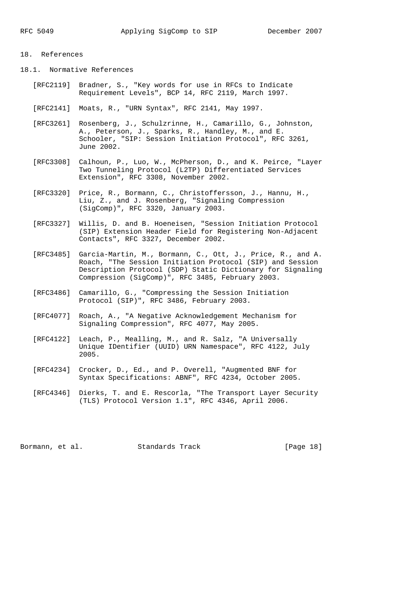# 18. References

- 18.1. Normative References
	- [RFC2119] Bradner, S., "Key words for use in RFCs to Indicate Requirement Levels", BCP 14, RFC 2119, March 1997.
	- [RFC2141] Moats, R., "URN Syntax", RFC 2141, May 1997.
	- [RFC3261] Rosenberg, J., Schulzrinne, H., Camarillo, G., Johnston, A., Peterson, J., Sparks, R., Handley, M., and E. Schooler, "SIP: Session Initiation Protocol", RFC 3261, June 2002.
	- [RFC3308] Calhoun, P., Luo, W., McPherson, D., and K. Peirce, "Layer Two Tunneling Protocol (L2TP) Differentiated Services Extension", RFC 3308, November 2002.
	- [RFC3320] Price, R., Bormann, C., Christoffersson, J., Hannu, H., Liu, Z., and J. Rosenberg, "Signaling Compression (SigComp)", RFC 3320, January 2003.
- [RFC3327] Willis, D. and B. Hoeneisen, "Session Initiation Protocol (SIP) Extension Header Field for Registering Non-Adjacent Contacts", RFC 3327, December 2002.
	- [RFC3485] Garcia-Martin, M., Bormann, C., Ott, J., Price, R., and A. Roach, "The Session Initiation Protocol (SIP) and Session Description Protocol (SDP) Static Dictionary for Signaling Compression (SigComp)", RFC 3485, February 2003.
	- [RFC3486] Camarillo, G., "Compressing the Session Initiation Protocol (SIP)", RFC 3486, February 2003.
	- [RFC4077] Roach, A., "A Negative Acknowledgement Mechanism for Signaling Compression", RFC 4077, May 2005.
	- [RFC4122] Leach, P., Mealling, M., and R. Salz, "A Universally Unique IDentifier (UUID) URN Namespace", RFC 4122, July 2005.
	- [RFC4234] Crocker, D., Ed., and P. Overell, "Augmented BNF for Syntax Specifications: ABNF", RFC 4234, October 2005.
- [RFC4346] Dierks, T. and E. Rescorla, "The Transport Layer Security (TLS) Protocol Version 1.1", RFC 4346, April 2006.

Bormann, et al. Standards Track [Page 18]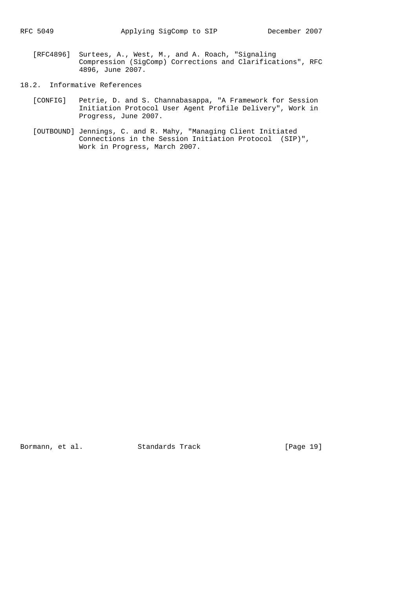- [RFC4896] Surtees, A., West, M., and A. Roach, "Signaling Compression (SigComp) Corrections and Clarifications", RFC 4896, June 2007.
- 18.2. Informative References
	- [CONFIG] Petrie, D. and S. Channabasappa, "A Framework for Session Initiation Protocol User Agent Profile Delivery", Work in Progress, June 2007.
	- [OUTBOUND] Jennings, C. and R. Mahy, "Managing Client Initiated Connections in the Session Initiation Protocol (SIP)", Work in Progress, March 2007.

Bormann, et al. Standards Track [Page 19]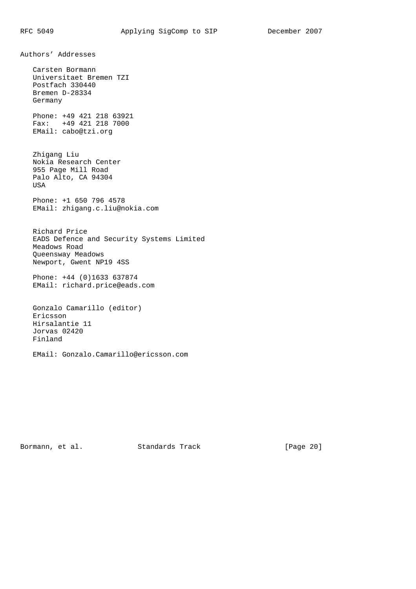Authors' Addresses Carsten Bormann Universitaet Bremen TZI Postfach 330440 Bremen D-28334 Germany Phone: +49 421 218 63921 Fax: +49 421 218 7000 EMail: cabo@tzi.org Zhigang Liu Nokia Research Center 955 Page Mill Road Palo Alto, CA 94304 USA Phone: +1 650 796 4578 EMail: zhigang.c.liu@nokia.com Richard Price EADS Defence and Security Systems Limited Meadows Road Queensway Meadows Newport, Gwent NP19 4SS Phone: +44 (0)1633 637874 EMail: richard.price@eads.com Gonzalo Camarillo (editor) Ericsson Hirsalantie 11 Jorvas 02420 Finland

EMail: Gonzalo.Camarillo@ericsson.com

Bormann, et al. Standards Track [Page 20]